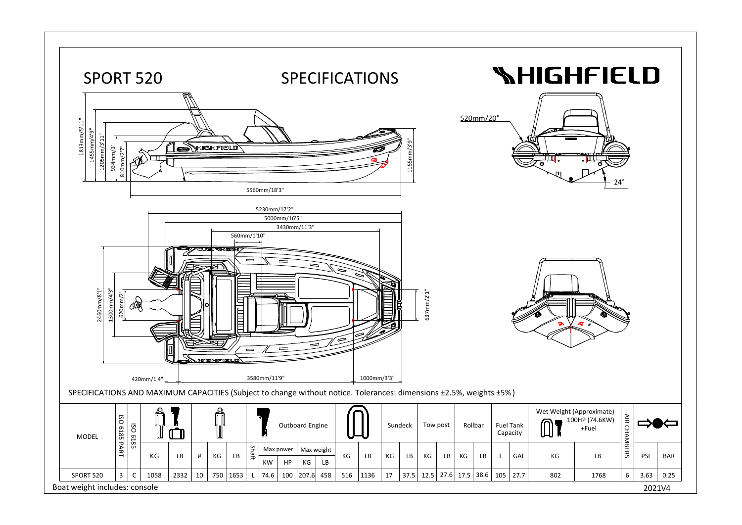